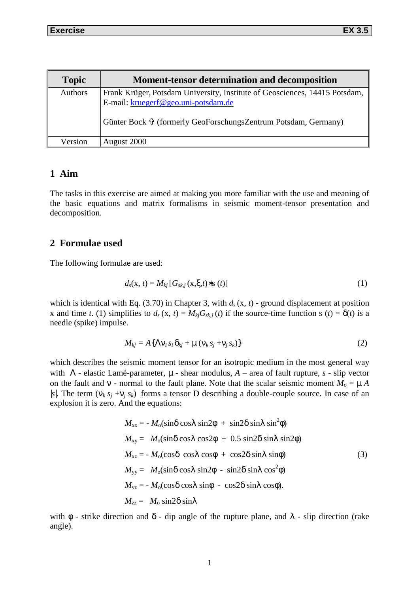| <b>Topic</b> | <b>Moment-tensor determination and decomposition</b>                                                                                                                                |
|--------------|-------------------------------------------------------------------------------------------------------------------------------------------------------------------------------------|
| Authors      | Frank Krüger, Potsdam University, Institute of Geosciences, 14415 Potsdam,<br>E-mail: kruegerf@geo.uni-potsdam.de<br>Günter Bock 守 (formerly GeoForschungsZentrum Potsdam, Germany) |
| Version      | August 2000                                                                                                                                                                         |

# **1 Aim**

The tasks in this exercise are aimed at making you more familiar with the use and meaning of the basic equations and matrix formalisms in seismic moment-tensor presentation and decomposition.

## **2 Formulae used**

The following formulae are used:

$$
d_s(\mathbf{x}, t) = M_{kj} [G_{sk,j}(\mathbf{x}, \xi, t) * \mathbf{s}(t)] \tag{1}
$$

which is identical with Eq. (3.70) in Chapter 3, with  $d_s(x, t)$  - ground displacement at position x and time *t*. (1) simplifies to  $d_s$  (x, *t*) =  $M_{ki}G_{skj}(t)$  if the source-time function s (*t*) =  $\delta$ (*t*) is a needle (spike) impulse.

$$
M_{kj} = A\{\Lambda v_i s_i \delta_{kj} + \mu (v_k s_j + v_j s_k)\}\
$$
 (2)

which describes the seismic moment tensor for an isotropic medium in the most general way with Λ - elastic Lamé-parameter, µ - shear modulus, *A* – area of fault rupture, *s -* slip vector on the fault and  $v$  - normal to the fault plane. Note that the scalar seismic moment  $M_0 = \mu A$ | $s$ |. The term ( $v_k s_j + v_j s_k$ ) forms a tensor D describing a double-couple source. In case of an explosion it is zero. And the equations:

$$
M_{xx} = -M_0(\sin\delta\cos\lambda\sin 2\phi + \sin 2\delta\sin\lambda\sin^2\phi)
$$
  
\n
$$
M_{xy} = M_0(\sin\delta\cos\lambda\cos 2\phi + 0.5 \sin 2\delta\sin\lambda\sin 2\phi)
$$
  
\n
$$
M_{xz} = -M_0(\cos\delta\cos\lambda\cos\phi + \cos 2\delta\sin\lambda\sin\phi)
$$
  
\n
$$
M_{yy} = M_0(\sin\delta\cos\lambda\sin 2\phi - \sin 2\delta\sin\lambda\cos^2\phi)
$$
  
\n
$$
M_{yz} = -M_0(\cos\delta\cos\lambda\sin\phi - \cos 2\delta\sin\lambda\cos\phi).
$$
  
\n
$$
M_{zz} = M_0 \sin 2\delta\sin\lambda
$$
 (3)

with  $\phi$  - strike direction and  $\delta$  - dip angle of the rupture plane, and  $\lambda$  - slip direction (rake angle).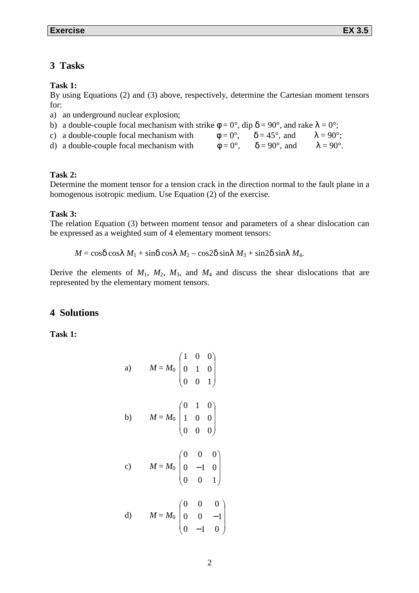### **3 Tasks**

#### **Task 1:**

By using Equations (2) and (3) above, respectively, determine the Cartesian moment tensors for:

- a) an underground nuclear explosion;
- b) a double-couple focal mechanism with strike  $\phi = 0^{\circ}$ , dip  $\delta = 90^{\circ}$ , and rake  $\lambda = 0^{\circ}$ ; c) a double-couple focal mechanism with  $\phi = 0^{\circ}$ ,  $\delta = 45^{\circ}$ , and  $\lambda = 90^{\circ}$ ;
- d) a double-couple focal mechanism with  $\phi = 0^{\circ}$ ,  $\delta = 90^{\circ}$ , and  $\lambda = 90^{\circ}$ .

#### **Task 2:**

Determine the moment tensor for a tension crack in the direction normal to the fault plane in a homogenous isotropic medium. Use Equation (2) of the exercise.

### **Task 3:**

The relation Equation (3) between moment tensor and parameters of a shear dislocation can be expressed as a weighted sum of 4 elementary moment tensors:

 $M = \cos\delta \cos\lambda M_1 + \sin\delta \cos\lambda M_2 - \cos2\delta \sin\lambda M_3 + \sin2\delta \sin\lambda M_4$ .

Derive the elements of  $M_1$ ,  $M_2$ ,  $M_3$ , and  $M_4$  and discuss the shear dislocations that are represented by the elementary moment tensors.

## **4 Solutions**

**Task 1:** 

a) 
$$
M = M_0 \begin{pmatrix} 1 & 0 & 0 \\ 0 & 1 & 0 \\ 0 & 0 & 1 \end{pmatrix}
$$
  
\nb)  $M = M_0 \begin{pmatrix} 0 & 1 & 0 \\ 1 & 0 & 0 \\ 0 & 0 & 0 \end{pmatrix}$   
\nc)  $M = M_0 \begin{pmatrix} 0 & 0 & 0 \\ 0 & -1 & 0 \\ 0 & 0 & 1 \end{pmatrix}$   
\nd)  $M = M_0 \begin{pmatrix} 0 & 0 & 0 \\ 0 & 0 & -1 \\ 0 & -1 & 0 \end{pmatrix}$